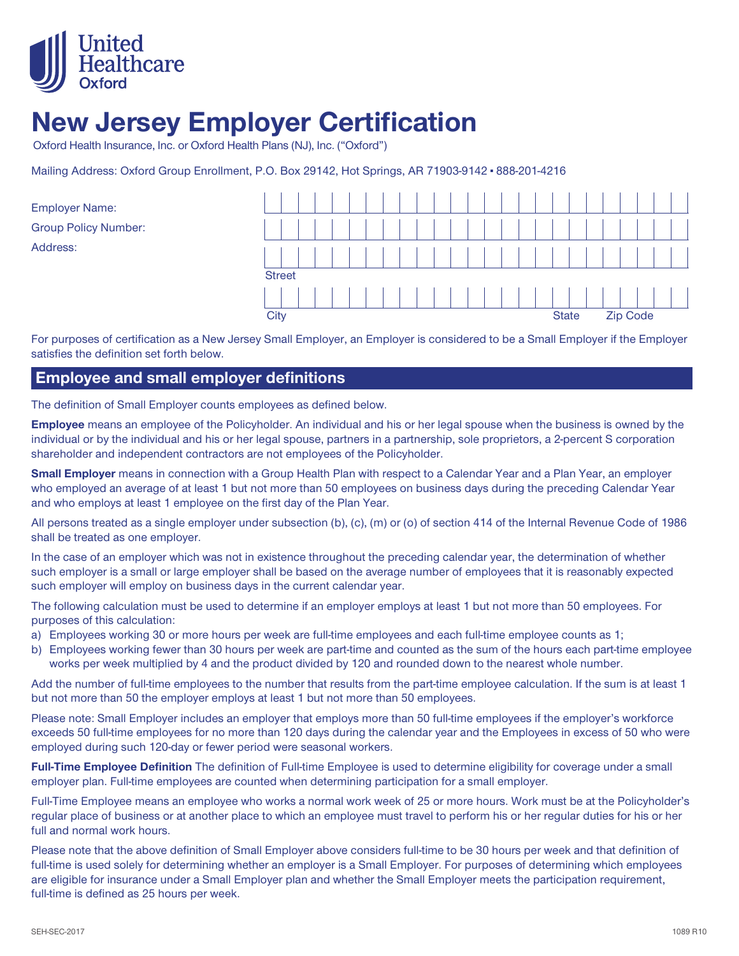

# **New Jersey Employer Certification**

Oxford Health Insurance, Inc. or Oxford Health Plans (NJ), Inc. ("Oxford")

Mailing Address: Oxford Group Enrollment, P.O. Box 29142, Hot Springs, AR 71903-9142 ■ 888-201-4216

| <b>Employer Name:</b>       |
|-----------------------------|
| <b>Group Policy Number:</b> |
| Address:                    |

| <b>Street</b> |  |  |  |  |  |  |  |              |  |          |  |  |
|---------------|--|--|--|--|--|--|--|--------------|--|----------|--|--|
|               |  |  |  |  |  |  |  |              |  |          |  |  |
| City          |  |  |  |  |  |  |  | <b>State</b> |  | Zip Code |  |  |

For purposes of certification as a New Jersey Small Employer, an Employer is considered to be a Small Employer if the Employer satisfies the definition set forth below.

## **Employee and small employer definitions**

The definition of Small Employer counts employees as defined below.

**Employee** means an employee of the Policyholder. An individual and his or her legal spouse when the business is owned by the individual or by the individual and his or her legal spouse, partners in a partnership, sole proprietors, a 2-percent S corporation shareholder and independent contractors are not employees of the Policyholder.

**Small Employer** means in connection with a Group Health Plan with respect to a Calendar Year and a Plan Year, an employer who employed an average of at least 1 but not more than 50 employees on business days during the preceding Calendar Year and who employs at least 1 employee on the first day of the Plan Year.

All persons treated as a single employer under subsection (b), (c), (m) or (o) of section 414 of the Internal Revenue Code of 1986 shall be treated as one employer.

In the case of an employer which was not in existence throughout the preceding calendar year, the determination of whether such employer is a small or large employer shall be based on the average number of employees that it is reasonably expected such employer will employ on business days in the current calendar year.

The following calculation must be used to determine if an employer employs at least 1 but not more than 50 employees. For purposes of this calculation:

- a) Employees working 30 or more hours per week are full-time employees and each full-time employee counts as 1;
- b) Employees working fewer than 30 hours per week are part-time and counted as the sum of the hours each part-time employee works per week multiplied by 4 and the product divided by 120 and rounded down to the nearest whole number.

Add the number of full-time employees to the number that results from the part-time employee calculation. If the sum is at least 1 but not more than 50 the employer employs at least 1 but not more than 50 employees.

Please note: Small Employer includes an employer that employs more than 50 full-time employees if the employer's workforce exceeds 50 full-time employees for no more than 120 days during the calendar year and the Employees in excess of 50 who were employed during such 120-day or fewer period were seasonal workers.

**Full-Time Employee Definition** The definition of Full-time Employee is used to determine eligibility for coverage under a small employer plan. Full-time employees are counted when determining participation for a small employer.

Full-Time Employee means an employee who works a normal work week of 25 or more hours. Work must be at the Policyholder's regular place of business or at another place to which an employee must travel to perform his or her regular duties for his or her full and normal work hours.

Please note that the above definition of Small Employer above considers full-time to be 30 hours per week and that definition of full-time is used solely for determining whether an employer is a Small Employer. For purposes of determining which employees are eligible for insurance under a Small Employer plan and whether the Small Employer meets the participation requirement, full-time is defined as 25 hours per week.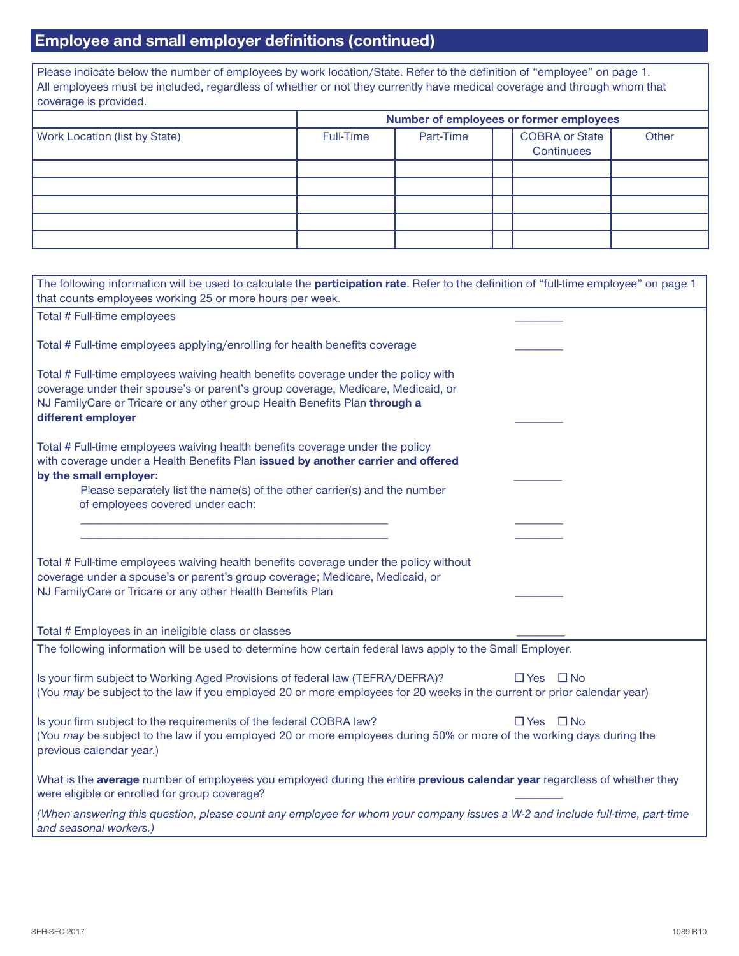# **Employee and small employer definitions (continued)**

Please indicate below the number of employees by work location/State. Refer to the definition of "employee" on page 1. All employees must be included, regardless of whether or not they currently have medical coverage and through whom that coverage is provided.

|                               | Number of employees or former employees |           |                                     |              |  |  |  |  |  |  |  |  |
|-------------------------------|-----------------------------------------|-----------|-------------------------------------|--------------|--|--|--|--|--|--|--|--|
| Work Location (list by State) | <b>Full-Time</b>                        | Part-Time | <b>COBRA or State</b><br>Continuees | <b>Other</b> |  |  |  |  |  |  |  |  |
|                               |                                         |           |                                     |              |  |  |  |  |  |  |  |  |
|                               |                                         |           |                                     |              |  |  |  |  |  |  |  |  |
|                               |                                         |           |                                     |              |  |  |  |  |  |  |  |  |
|                               |                                         |           |                                     |              |  |  |  |  |  |  |  |  |
|                               |                                         |           |                                     |              |  |  |  |  |  |  |  |  |

| The following information will be used to calculate the participation rate. Refer to the definition of "full-time employee" on page 1                                                                                                                                      |
|----------------------------------------------------------------------------------------------------------------------------------------------------------------------------------------------------------------------------------------------------------------------------|
| that counts employees working 25 or more hours per week.                                                                                                                                                                                                                   |
| Total # Full-time employees                                                                                                                                                                                                                                                |
| Total # Full-time employees applying/enrolling for health benefits coverage                                                                                                                                                                                                |
| Total # Full-time employees waiving health benefits coverage under the policy with<br>coverage under their spouse's or parent's group coverage, Medicare, Medicaid, or<br>NJ FamilyCare or Tricare or any other group Health Benefits Plan through a<br>different employer |
| Total # Full-time employees waiving health benefits coverage under the policy<br>with coverage under a Health Benefits Plan issued by another carrier and offered<br>by the small employer:                                                                                |
| Please separately list the name(s) of the other carrier(s) and the number<br>of employees covered under each:                                                                                                                                                              |
|                                                                                                                                                                                                                                                                            |
| Total # Full-time employees waiving health benefits coverage under the policy without<br>coverage under a spouse's or parent's group coverage; Medicare, Medicaid, or<br>NJ FamilyCare or Tricare or any other Health Benefits Plan                                        |
| Total # Employees in an ineligible class or classes                                                                                                                                                                                                                        |
| The following information will be used to determine how certain federal laws apply to the Small Employer.                                                                                                                                                                  |
| Is your firm subject to Working Aged Provisions of federal law (TEFRA/DEFRA)?<br>$\Box$ Yes $\Box$ No<br>(You may be subject to the law if you employed 20 or more employees for 20 weeks in the current or prior calendar year)                                           |
| Is your firm subject to the requirements of the federal COBRA law?<br>$\Box$ Yes $\Box$ No<br>(You may be subject to the law if you employed 20 or more employees during 50% or more of the working days during the<br>previous calendar year.)                            |
| What is the average number of employees you employed during the entire previous calendar year regardless of whether they<br>were eligible or enrolled for group coverage?                                                                                                  |
| (When answering this question, please count any employee for whom your company issues a W-2 and include full-time, part-time<br>and seasonal workers.)                                                                                                                     |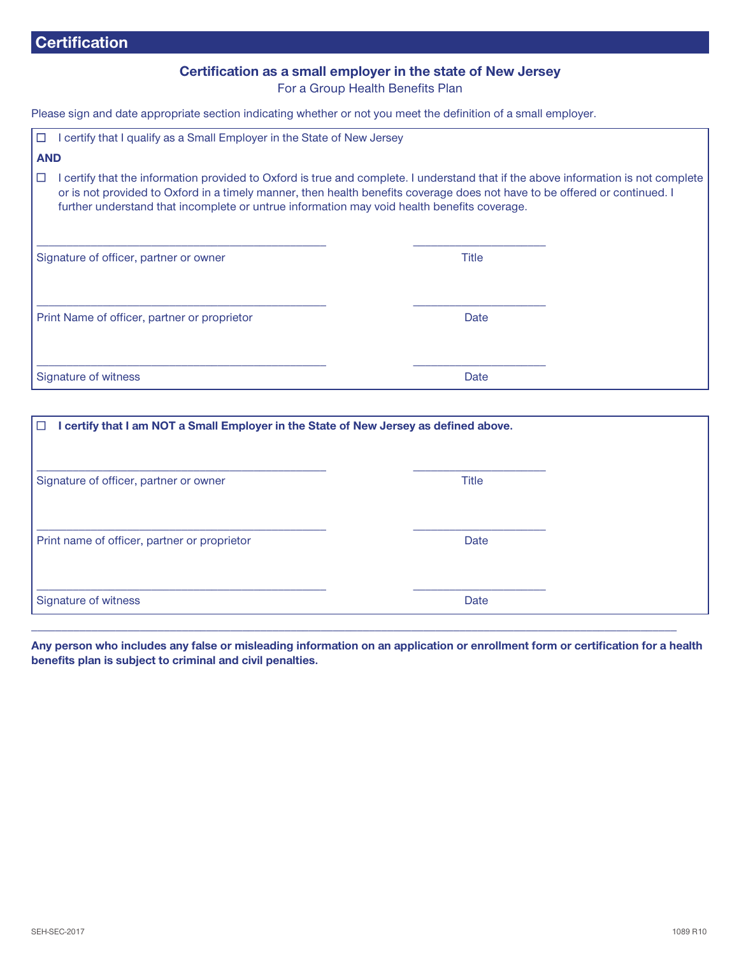## **Certification as a small employer in the state of New Jersey**

For a Group Health Benefits Plan

Please sign and date appropriate section indicating whether or not you meet the definition of a small employer.

| $\Box$     | I certify that I qualify as a Small Employer in the State of New Jersey                                                                                                                                                                                                                                                                                         |       |  |
|------------|-----------------------------------------------------------------------------------------------------------------------------------------------------------------------------------------------------------------------------------------------------------------------------------------------------------------------------------------------------------------|-------|--|
| <b>AND</b> |                                                                                                                                                                                                                                                                                                                                                                 |       |  |
| ∣□         | l certify that the information provided to Oxford is true and complete. I understand that if the above information is not complete<br>or is not provided to Oxford in a timely manner, then health benefits coverage does not have to be offered or continued. I<br>further understand that incomplete or untrue information may void health benefits coverage. |       |  |
|            | Signature of officer, partner or owner                                                                                                                                                                                                                                                                                                                          | Title |  |
|            | Print Name of officer, partner or proprietor                                                                                                                                                                                                                                                                                                                    | Date  |  |
|            | Signature of witness                                                                                                                                                                                                                                                                                                                                            | Date  |  |

| 10.<br>certify that I am NOT a Small Employer in the State of New Jersey as defined above. |              |
|--------------------------------------------------------------------------------------------|--------------|
| Signature of officer, partner or owner                                                     | <b>Title</b> |
| Print name of officer, partner or proprietor                                               | Date         |
| Signature of witness                                                                       | Date         |

**Any person who includes any false or misleading information on an application or enrollment form or certification for a health benefits plan is subject to criminal and civil penalties.**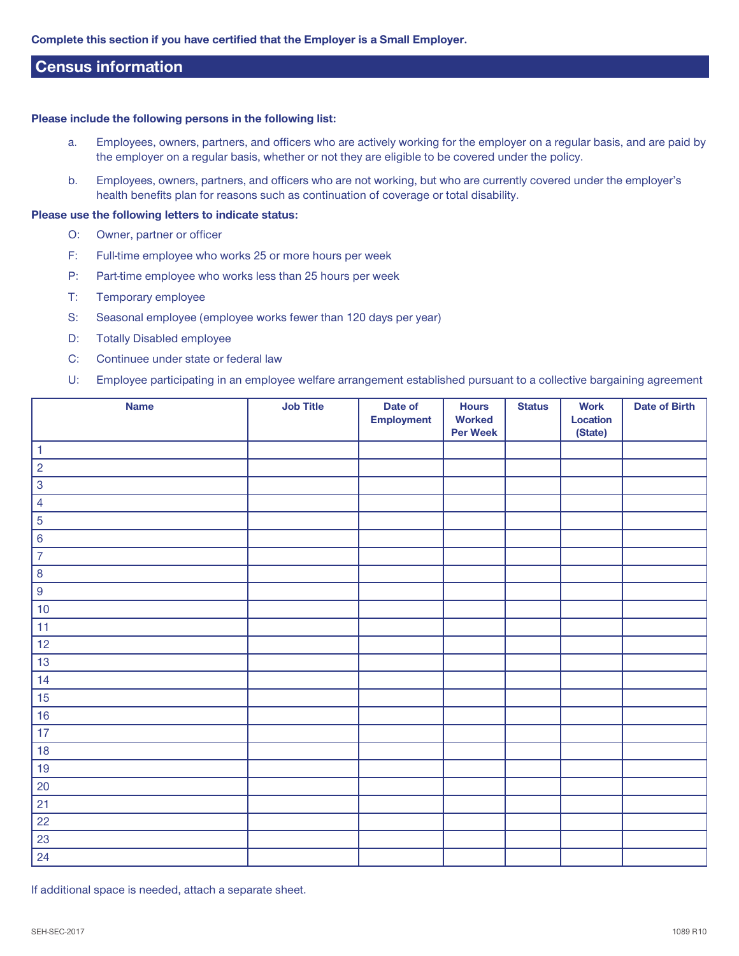## **Census information**

#### **Please include the following persons in the following list:**

- a. Employees, owners, partners, and officers who are actively working for the employer on a regular basis, and are paid by the employer on a regular basis, whether or not they are eligible to be covered under the policy.
- b. Employees, owners, partners, and officers who are not working, but who are currently covered under the employer's health benefits plan for reasons such as continuation of coverage or total disability.

#### **Please use the following letters to indicate status:**

- O: Owner, partner or officer
- F: Full-time employee who works 25 or more hours per week
- P: Part-time employee who works less than 25 hours per week
- T: Temporary employee
- S: Seasonal employee (employee works fewer than 120 days per year)
- D: Totally Disabled employee
- C: Continuee under state or federal law
- U: Employee participating in an employee welfare arrangement established pursuant to a collective bargaining agreement

| <b>Name</b>      | <b>Job Title</b> | Date of<br><b>Employment</b> | <b>Hours</b><br><b>Worked</b><br><b>Per Week</b> | <b>Status</b> | <b>Work</b><br>Location<br>(State) | <b>Date of Birth</b> |
|------------------|------------------|------------------------------|--------------------------------------------------|---------------|------------------------------------|----------------------|
| $\mathbf{1}$     |                  |                              |                                                  |               |                                    |                      |
| $\overline{2}$   |                  |                              |                                                  |               |                                    |                      |
| $\mathbf{3}$     |                  |                              |                                                  |               |                                    |                      |
| $\overline{4}$   |                  |                              |                                                  |               |                                    |                      |
| $\overline{5}$   |                  |                              |                                                  |               |                                    |                      |
| $6\phantom{a}$   |                  |                              |                                                  |               |                                    |                      |
| $\overline{7}$   |                  |                              |                                                  |               |                                    |                      |
| $\boldsymbol{8}$ |                  |                              |                                                  |               |                                    |                      |
| $\overline{9}$   |                  |                              |                                                  |               |                                    |                      |
| 10               |                  |                              |                                                  |               |                                    |                      |
| 11               |                  |                              |                                                  |               |                                    |                      |
| 12               |                  |                              |                                                  |               |                                    |                      |
| 13               |                  |                              |                                                  |               |                                    |                      |
| 14               |                  |                              |                                                  |               |                                    |                      |
| 15               |                  |                              |                                                  |               |                                    |                      |
| 16               |                  |                              |                                                  |               |                                    |                      |
| 17               |                  |                              |                                                  |               |                                    |                      |
| 18               |                  |                              |                                                  |               |                                    |                      |
| 19               |                  |                              |                                                  |               |                                    |                      |
| $20\,$           |                  |                              |                                                  |               |                                    |                      |
| 21               |                  |                              |                                                  |               |                                    |                      |
| 22               |                  |                              |                                                  |               |                                    |                      |
| 23               |                  |                              |                                                  |               |                                    |                      |
| 24               |                  |                              |                                                  |               |                                    |                      |

If additional space is needed, attach a separate sheet.